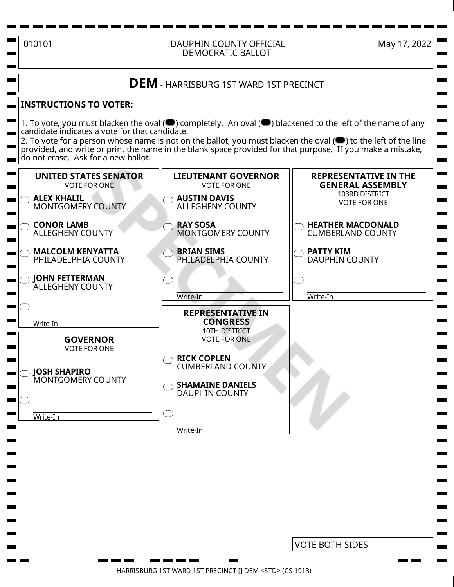## 010101 DAUPHIN COUNTY OFFICIAL DEMOCRATIC BALLOT

May 17, 2022

## **DEM** - HARRISBURG 1ST WARD 1ST PRECINCT

## **INSTRUCTIONS TO VOTER:**

1. To vote, you must blacken the oval  $(\bullet)$  completely. An oval  $(\bullet)$  blackened to the left of the name of any candidate indicates a vote for that candidate.

2. To vote for a person whose name is not on the ballot, you must blacken the oval  $($ **)** to the left of the line provided, and write or print the name in the blank space provided for that purpose. If you make a mistake, do not erase. Ask for a new ballot.